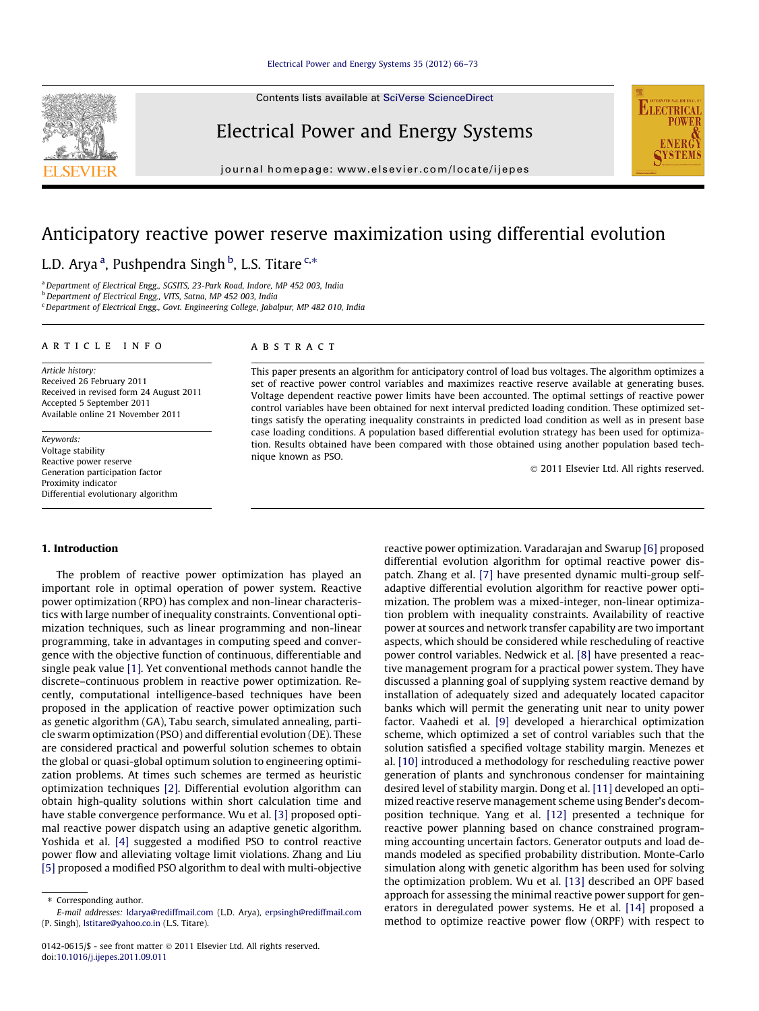Contents lists available at [SciVerse ScienceDirect](http://www.sciencedirect.com/science/journal/01420615)

## Electrical Power and Energy Systems

journal homepage: [www.elsevier.com/locate/ijepes](http://www.elsevier.com/locate/ijepes)

# Anticipatory reactive power reserve maximization using differential evolution

### L.D. Arya <sup>a</sup>, Pushpendra Singh <sup>b</sup>, L.S. Titare <sup>c,</sup>\*

<sup>a</sup> Department of Electrical Engg., SGSITS, 23-Park Road, Indore, MP 452 003, India

<sup>b</sup> Department of Electrical Engg., VITS, Satna, MP 452 003, India

<sup>c</sup> Department of Electrical Engg., Govt. Engineering College, Jabalpur, MP 482 010, India

#### article info

Article history: Received 26 February 2011 Received in revised form 24 August 2011 Accepted 5 September 2011 Available online 21 November 2011

Keywords: Voltage stability Reactive power reserve Generation participation factor Proximity indicator Differential evolutionary algorithm

#### ABSTRACT

This paper presents an algorithm for anticipatory control of load bus voltages. The algorithm optimizes a set of reactive power control variables and maximizes reactive reserve available at generating buses. Voltage dependent reactive power limits have been accounted. The optimal settings of reactive power control variables have been obtained for next interval predicted loading condition. These optimized settings satisfy the operating inequality constraints in predicted load condition as well as in present base case loading conditions. A population based differential evolution strategy has been used for optimization. Results obtained have been compared with those obtained using another population based technique known as PSO.

- 2011 Elsevier Ltd. All rights reserved.

#### 1. Introduction

The problem of reactive power optimization has played an important role in optimal operation of power system. Reactive power optimization (RPO) has complex and non-linear characteristics with large number of inequality constraints. Conventional optimization techniques, such as linear programming and non-linear programming, take in advantages in computing speed and convergence with the objective function of continuous, differentiable and single peak value [\[1\].](#page--1-0) Yet conventional methods cannot handle the discrete–continuous problem in reactive power optimization. Recently, computational intelligence-based techniques have been proposed in the application of reactive power optimization such as genetic algorithm (GA), Tabu search, simulated annealing, particle swarm optimization (PSO) and differential evolution (DE). These are considered practical and powerful solution schemes to obtain the global or quasi-global optimum solution to engineering optimization problems. At times such schemes are termed as heuristic optimization techniques [\[2\].](#page--1-0) Differential evolution algorithm can obtain high-quality solutions within short calculation time and have stable convergence performance. Wu et al. [\[3\]](#page--1-0) proposed optimal reactive power dispatch using an adaptive genetic algorithm. Yoshida et al. [\[4\]](#page--1-0) suggested a modified PSO to control reactive power flow and alleviating voltage limit violations. Zhang and Liu [\[5\]](#page--1-0) proposed a modified PSO algorithm to deal with multi-objective reactive power optimization. Varadarajan and Swarup [\[6\]](#page--1-0) proposed differential evolution algorithm for optimal reactive power dispatch. Zhang et al. [\[7\]](#page--1-0) have presented dynamic multi-group selfadaptive differential evolution algorithm for reactive power optimization. The problem was a mixed-integer, non-linear optimization problem with inequality constraints. Availability of reactive power at sources and network transfer capability are two important aspects, which should be considered while rescheduling of reactive power control variables. Nedwick et al. [\[8\]](#page--1-0) have presented a reactive management program for a practical power system. They have discussed a planning goal of supplying system reactive demand by installation of adequately sized and adequately located capacitor banks which will permit the generating unit near to unity power factor. Vaahedi et al. [\[9\]](#page--1-0) developed a hierarchical optimization scheme, which optimized a set of control variables such that the solution satisfied a specified voltage stability margin. Menezes et al. [\[10\]](#page--1-0) introduced a methodology for rescheduling reactive power generation of plants and synchronous condenser for maintaining desired level of stability margin. Dong et al. [\[11\]](#page--1-0) developed an optimized reactive reserve management scheme using Bender's decomposition technique. Yang et al. [\[12\]](#page--1-0) presented a technique for reactive power planning based on chance constrained programming accounting uncertain factors. Generator outputs and load demands modeled as specified probability distribution. Monte-Carlo simulation along with genetic algorithm has been used for solving the optimization problem. Wu et al. [\[13\]](#page--1-0) described an OPF based approach for assessing the minimal reactive power support for generators in deregulated power systems. He et al. [\[14\]](#page--1-0) proposed a method to optimize reactive power flow (ORPF) with respect to





<sup>⇑</sup> Corresponding author.

E-mail addresses: [ldarya@rediffmail.com](mailto:ldarya@rediffmail.com) (L.D. Arya), [erpsingh@rediffmail.com](mailto:erpsingh@rediffmail.com) (P. Singh), [lstitare@yahoo.co.in](mailto:lstitare@yahoo.co.in) (L.S. Titare).

<sup>0142-0615/\$ -</sup> see front matter © 2011 Elsevier Ltd. All rights reserved. doi:[10.1016/j.ijepes.2011.09.011](http://dx.doi.org/10.1016/j.ijepes.2011.09.011)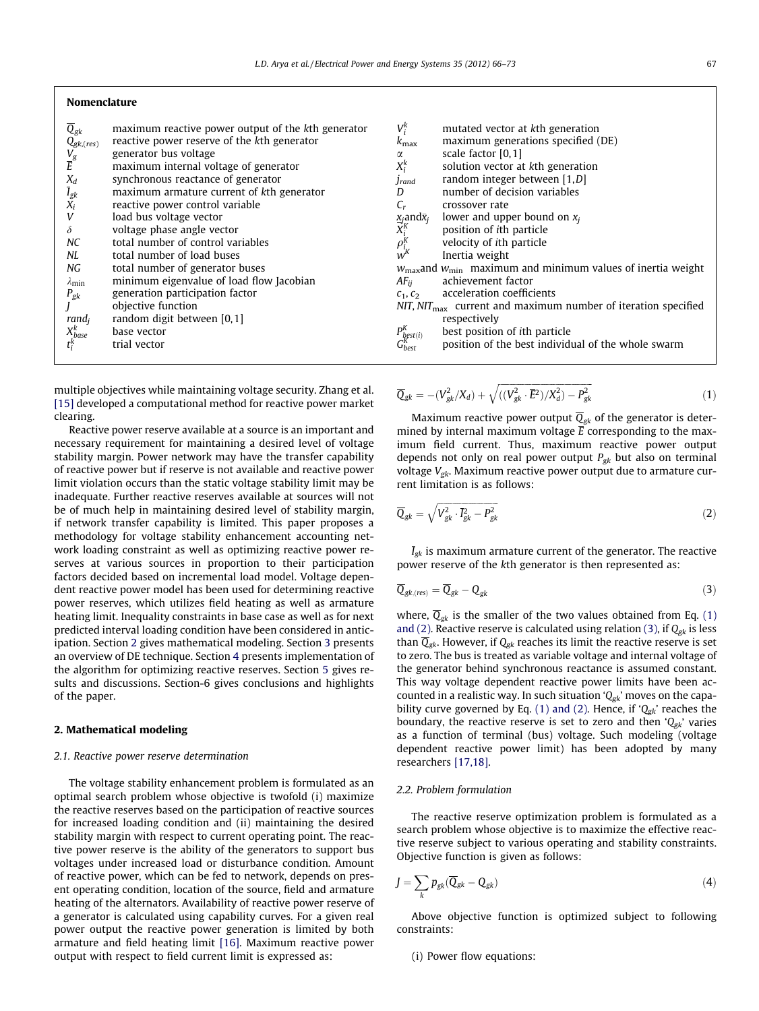| Nomenclature |  |
|--------------|--|
|--------------|--|

| $\overline{Q}_{gk}$<br>$Q_{gk,(res)}$<br>$\frac{V_g}{\overline{E}}$<br>$\frac{X_d}{\bar{I}_{gk}}$ $X_i$<br>V<br>$\delta$<br>NC<br>NL<br>NG<br>$\lambda_{\min}$<br>$P_{gk}$ | maximum reactive power output of the kth generator<br>reactive power reserve of the kth generator<br>generator bus voltage<br>maximum internal voltage of generator<br>synchronous reactance of generator<br>maximum armature current of kth generator<br>reactive power control variable<br>load bus voltage vector<br>voltage phase angle vector<br>total number of control variables<br>total number of load buses<br>total number of generator buses<br>minimum eigenvalue of load flow Jacobian<br>generation participation factor<br>objective function | $V_i^k$<br>$k_{\rm max}$<br>α<br>$X_i^k$<br>Jrand<br>D<br>$\frac{\chi_j}{X_i^K}$<br>$\rho^K_{i_K}$<br>$AF_{ii}$<br>$c_1, c_2$ | mutated vector at kth generation<br>maximum generations specified (DE)<br>scale factor $[0,1]$<br>solution vector at kth generation<br>random integer between $[1,D]$<br>number of decision variables<br>crossover rate<br>lower and upper bound on $x_i$<br>position of <i>i</i> th particle<br>velocity of <i>ith</i> particle<br>Inertia weight<br>$w_{\text{max}}$ and $w_{\text{min}}$ maximum and minimum values of inertia weight<br>achievement factor<br>acceleration coefficients<br>$NIT$ , $NIT_{\text{max}}$ current and maximum number of iteration specified |
|----------------------------------------------------------------------------------------------------------------------------------------------------------------------------|---------------------------------------------------------------------------------------------------------------------------------------------------------------------------------------------------------------------------------------------------------------------------------------------------------------------------------------------------------------------------------------------------------------------------------------------------------------------------------------------------------------------------------------------------------------|-------------------------------------------------------------------------------------------------------------------------------|-----------------------------------------------------------------------------------------------------------------------------------------------------------------------------------------------------------------------------------------------------------------------------------------------------------------------------------------------------------------------------------------------------------------------------------------------------------------------------------------------------------------------------------------------------------------------------|
|                                                                                                                                                                            |                                                                                                                                                                                                                                                                                                                                                                                                                                                                                                                                                               |                                                                                                                               |                                                                                                                                                                                                                                                                                                                                                                                                                                                                                                                                                                             |
| $\max_{\substack{k \text{base}}}$                                                                                                                                          | random digit between [0,1]<br>base vector                                                                                                                                                                                                                                                                                                                                                                                                                                                                                                                     | $P_{\text{best}(i)}^{K}$                                                                                                      | respectively<br>best position of ith particle                                                                                                                                                                                                                                                                                                                                                                                                                                                                                                                               |
| $t_i^k$                                                                                                                                                                    | trial vector                                                                                                                                                                                                                                                                                                                                                                                                                                                                                                                                                  | $G_{best}^{\rm K}$                                                                                                            | position of the best individual of the whole swarm                                                                                                                                                                                                                                                                                                                                                                                                                                                                                                                          |

multiple objectives while maintaining voltage security. Zhang et al. [\[15\]](#page--1-0) developed a computational method for reactive power market clearing.

Reactive power reserve available at a source is an important and necessary requirement for maintaining a desired level of voltage stability margin. Power network may have the transfer capability of reactive power but if reserve is not available and reactive power limit violation occurs than the static voltage stability limit may be inadequate. Further reactive reserves available at sources will not be of much help in maintaining desired level of stability margin, if network transfer capability is limited. This paper proposes a methodology for voltage stability enhancement accounting network loading constraint as well as optimizing reactive power reserves at various sources in proportion to their participation factors decided based on incremental load model. Voltage dependent reactive power model has been used for determining reactive power reserves, which utilizes field heating as well as armature heating limit. Inequality constraints in base case as well as for next predicted interval loading condition have been considered in anticipation. Section 2 gives mathematical modeling. Section [3](#page--1-0) presents an overview of DE technique. Section [4](#page--1-0) presents implementation of the algorithm for optimizing reactive reserves. Section [5](#page--1-0) gives results and discussions. Section-6 gives conclusions and highlights of the paper.

#### 2. Mathematical modeling

#### 2.1. Reactive power reserve determination

The voltage stability enhancement problem is formulated as an optimal search problem whose objective is twofold (i) maximize the reactive reserves based on the participation of reactive sources for increased loading condition and (ii) maintaining the desired stability margin with respect to current operating point. The reactive power reserve is the ability of the generators to support bus voltages under increased load or disturbance condition. Amount of reactive power, which can be fed to network, depends on present operating condition, location of the source, field and armature heating of the alternators. Availability of reactive power reserve of a generator is calculated using capability curves. For a given real power output the reactive power generation is limited by both armature and field heating limit [\[16\].](#page--1-0) Maximum reactive power output with respect to field current limit is expressed as:

$$
\overline{Q}_{gk} = -(V_{gk}^2/X_d) + \sqrt{((V_{gk}^2 \cdot \overline{E}^2)/X_d^2) - P_{gk}^2}
$$
\n(1)

Maximum reactive power output  $\overline{Q}_{gk}$  of the generator is determined by internal maximum voltage  $\overline{E}$  corresponding to the maximum field current. Thus, maximum reactive power output depends not only on real power output  $P_{gk}$  but also on terminal voltage  $V_{gk}$ . Maximum reactive power output due to armature current limitation is as follows:

$$
\overline{Q}_{gk} = \sqrt{V_{gk}^2 \cdot \overline{I}_{gk}^2 - P_{gk}^2}
$$
 (2)

 $\bar{I}_{gk}$  is maximum armature current of the generator. The reactive power reserve of the kth generator is then represented as:

$$
\overline{Q}_{gk,(res)} = \overline{Q}_{gk} - Q_{gk} \tag{3}
$$

where,  $\overline{Q}_{gk}$  is the smaller of the two values obtained from Eq. (1) and (2). Reactive reserve is calculated using relation (3), if  $Q_{gk}$  is less than  $\overline{Q}_{gk}$ . However, if  $Q_{gk}$  reaches its limit the reactive reserve is set to zero. The bus is treated as variable voltage and internal voltage of the generator behind synchronous reactance is assumed constant. This way voltage dependent reactive power limits have been accounted in a realistic way. In such situation  $Q_{gk}$ ' moves on the capability curve governed by Eq. (1) and (2). Hence, if ' $Q_{gk}$ ' reaches the boundary, the reactive reserve is set to zero and then  $Q_{gk}$ ' varies as a function of terminal (bus) voltage. Such modeling (voltage dependent reactive power limit) has been adopted by many researchers [\[17,18\]](#page--1-0).

#### 2.2. Problem formulation

The reactive reserve optimization problem is formulated as a search problem whose objective is to maximize the effective reactive reserve subject to various operating and stability constraints. Objective function is given as follows:

$$
J = \sum_{k} p_{gk} (\overline{Q}_{gk} - Q_{gk})
$$
\n(4)

Above objective function is optimized subject to following constraints:

(i) Power flow equations: